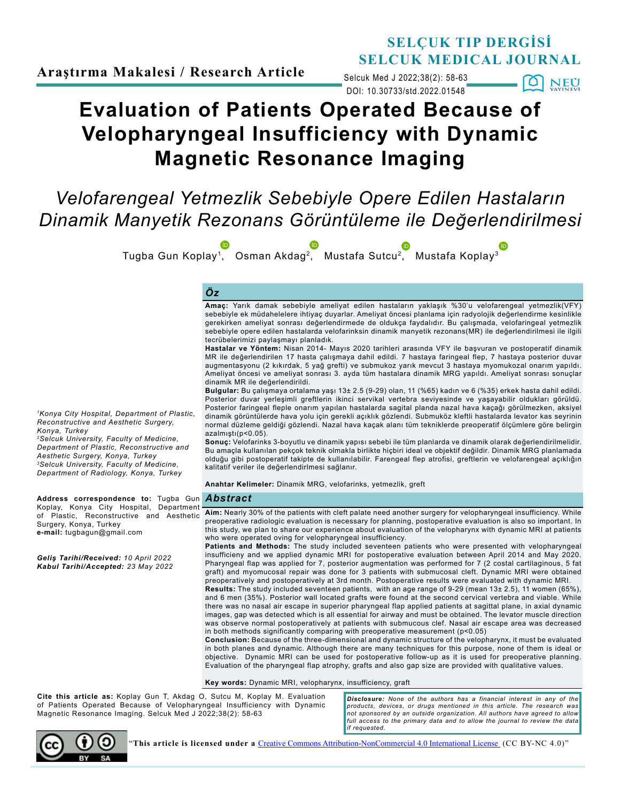### **SELÇUK TIP DERGİSİ SELCUK MEDICAL JOURNAL**

DOI: 10.30733/std.2022.01548 Selcuk Med J 2022;38(2): 58-63

 $\blacksquare$ [0] **NEU** 

# **Evaluation of Patients Operated Because of Velopharyngeal Insufficiency with Dynamic Magnetic Resonance Imaging**

## *Velofarengeal Yetmezlik Sebebiyle Opere Edilen Hastaların Dinamik Manyetik Rezonans Görüntüleme ile Değerlendirilmesi*

Tugba Gun Koplay[1,](http://orcid.org/0000-0003-3095-6524) Osman Akdag[2,](http://orcid.org/0000-0001-9347-5192) Mustafa Sutcu[2,](http://orcid.org/0000-0001-5106-0159) Mustafa Koplay[3](http://orcid.org/0000-0001-7513-4968)

### *Öz*

**Amaç:** Yarık damak sebebiyle ameliyat edilen hastaların yaklaşık %30'u velofarengeal yetmezlik(VFY) sebebiyle ek müdahelelere ihtiyaç duyarlar. Ameliyat öncesi planlama için radyolojik değerlendirme kesinlikle gerekirken ameliyat sonrası değerlendirmede de oldukça faydalıdır. Bu çalışmada, velofaringeal yetmezlik sebebiyle opere edilen hastalarda velofarinksin dinamik manyetik rezonans(MR) ile değerlendirilmesi ile ilgili tecrübelerimizi paylaşmayı planladık.

**Hastalar ve Yöntem:** Nisan 2014- Mayıs 2020 tarihleri arasında VFY ile başvuran ve postoperatif dinamik MR ile değerlendirilen 17 hasta çalışmaya dahil edildi. 7 hastaya faringeal flep, 7 hastaya posterior duvar augmentasyonu (2 kıkırdak, 5 yağ grefti) ve submukoz yarık mevcut 3 hastaya myomukozal onarım yapıldı. Ameliyat öncesi ve ameliyat sonrası 3. ayda tüm hastalara dinamik MRG yapıldı. Ameliyat sonrası sonuçlar dinamik MR ile değerlendirildi.

**Bulgular:** Bu çalışmaya ortalama yaşı 13± 2.5 (9-29) olan, 11 (%65) kadın ve 6 (%35) erkek hasta dahil edildi. Posterior duvar yerleşimli greftlerin ikinci servikal vertebra seviyesinde ve yaşayabilir oldukları görüldü. Posterior faringeal fleple onarım yapılan hastalarda sagital planda nazal hava kaçağı görülmezken, aksiyel dinamik görüntülerde hava yolu için gerekli açıklık gözlendi. Submuköz kleftli hastalarda levator kas seyrinin normal düzleme geldiği gözlendi. Nazal hava kaçak alanı tüm tekniklerde preoperatif ölçümlere göre belirgin azalmıştı(p<0.05).

**Sonuç:** Velofarinks 3-boyutlu ve dinamik yapısı sebebi ile tüm planlarda ve dinamik olarak değerlendirilmelidir. Bu amaçla kullanılan pekçok teknik olmakla birlikte hiçbiri ideal ve objektif değildir. Dinamik MRG planlamada olduğu gibi postoperatif takipte de kullanılabilir. Farengeal flep atrofisi, greftlerin ve velofarengeal açıklığın kalitatif veriler ile değerlendirlmesi sağlanır.

**Anahtar Kelimeler:** Dinamik MRG, velofarinks, yetmezlik, greft

of Plastic, Reconstructive and Aesthetic **Aim:** Nearly 30% of the patients with cleft palate need another surgery for velopharyngeal insufficiency. While preoperative radiologic evaluation is necessary for planning, postoperative evaluation is also so important. In this study, we plan to share our experience about evaluation of the velopharynx with dynamic MRI at patients who were operated oving for velopharyngeal insufficiency.

**Patients and Methods:** The study included seventeen patients who were presented with velopharyngeal insufficieny and we applied dynamic MRI for postoperative evaluation between April 2014 and May 2020. Pharyngeal flap was applied for 7, posterior augmentation was performed for 7 (2 costal cartilaginous, 5 fat graft) and myomucosal repair was done for 3 patients with submucosal cleft. Dynamic MRI were obtained preoperatively and postoperatively at 3rd month. Postoperative results were evaluated with dynamic MRI.

**Results:** The study included seventeen patients, with an age range of 9-29 (mean 13± 2.5), 11 women (65%), and 6 men (35%). Posterior wall located grafts were found at the second cervical vertebra and viable. While there was no nasal air escape in superior pharyngeal flap applied patients at sagittal plane, in axial dynamic images, gap was detected which is all essential for airway and must be obtained. The levator muscle direction was observe normal postoperatively at patients with submucous clef. Nasal air escape area was decreased in both methods significantly comparing with preoperative measurement (p<0.05)

**Conclusion:** Because of the three-dimensional and dynamic structure of the velopharynx, it must be evaluated in both planes and dynamic. Although there are many techniques for this purpose, none of them is ideal or objective. Dynamic MRI can be used for postoperative follow-up as it is used for preoperative planning. Evaluation of the pharyngeal flap atrophy, grafts and also gap size are provided with qualitative values.

**Key words:** Dynamic MRI, velopharynx, insufficiency, graft

**Cite this article as:** Koplay Gun T, Akdag O, Sutcu M, Koplay M. Evaluation of Patients Operated Because of Velopharyngeal Insufficiency with Dynamic Magnetic Resonance Imaging. Selcuk Med J 2022;38(2): 58-63

*Disclosure: None of the authors has a financial interest in any of the products, devices, or drugs mentioned in this article. The research was not sponsored by an outside organization. All authors have agreed to allow*  full access to the primary data and to allow the journal to review the data *if requested.*



"**This article is licensed under a** [Creative Commons Attribution-NonCommercial 4.0 International License](https://creativecommons.org/licenses/by-nc/4.0/) (CC BY-NC 4.0)"

*1Konya City Hospital, Department of Plastic, Reconstructive and Aesthetic Surgery, Konya, Turkey*

*2Selcuk University, Faculty of Medicine, Department of Plastic, Reconstructive and Aesthetic Surgery, Konya, Turkey 3Selcuk University, Faculty of Medicine, Department of Radiology, Konya, Turkey* 

*Abstract* **Address correspondence to:** Tugba Gun Koplay, Konya City Hospital, Department Surgery, Konya, Turkey **e-mail:** tugbagun@gmail.com

*Geliş Tarihi/Received: 10 April 2022 Kabul Tarihi/Accepted: 23 May 2022*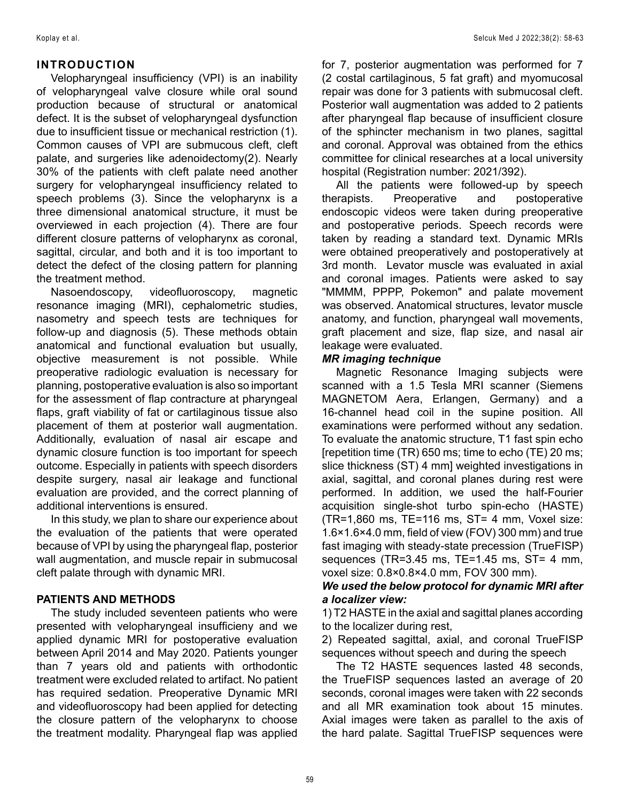#### **INTRODUCTION**

Velopharyngeal insufficiency (VPI) is an inability of velopharyngeal valve closure while oral sound production because of structural or anatomical defect. It is the subset of velopharyngeal dysfunction due to insufficient tissue or mechanical restriction (1). Common causes of VPI are submucous cleft, cleft palate, and surgeries like adenoidectomy(2). Nearly 30% of the patients with cleft palate need another surgery for velopharyngeal insufficiency related to speech problems (3). Since the velopharynx is a three dimensional anatomical structure, it must be overviewed in each projection (4). There are four different closure patterns of velopharynx as coronal, sagittal, circular, and both and it is too important to detect the defect of the closing pattern for planning the treatment method.

Nasoendoscopy, videofluoroscopy, magnetic resonance imaging (MRI), cephalometric studies, nasometry and speech tests are techniques for follow-up and diagnosis (5). These methods obtain anatomical and functional evaluation but usually, objective measurement is not possible. While preoperative radiologic evaluation is necessary for planning, postoperative evaluation is also so important for the assessment of flap contracture at pharyngeal flaps, graft viability of fat or cartilaginous tissue also placement of them at posterior wall augmentation. Additionally, evaluation of nasal air escape and dynamic closure function is too important for speech outcome. Especially in patients with speech disorders despite surgery, nasal air leakage and functional evaluation are provided, and the correct planning of additional interventions is ensured.

In this study, we plan to share our experience about the evaluation of the patients that were operated because of VPI by using the pharyngeal flap, posterior wall augmentation, and muscle repair in submucosal cleft palate through with dynamic MRI.

#### **PATIENTS AND METHODS**

The study included seventeen patients who were presented with velopharyngeal insufficieny and we applied dynamic MRI for postoperative evaluation between April 2014 and May 2020. Patients younger than 7 years old and patients with orthodontic treatment were excluded related to artifact. No patient has required sedation. Preoperative Dynamic MRI and videofluoroscopy had been applied for detecting the closure pattern of the velopharynx to choose the treatment modality. Pharyngeal flap was applied

for 7, posterior augmentation was performed for 7 (2 costal cartilaginous, 5 fat graft) and myomucosal repair was done for 3 patients with submucosal cleft. Posterior wall augmentation was added to 2 patients after pharyngeal flap because of insufficient closure of the sphincter mechanism in two planes, sagittal and coronal. Approval was obtained from the ethics committee for clinical researches at a local university hospital (Registration number: 2021/392).

All the patients were followed-up by speech therapists. Preoperative and postoperative endoscopic videos were taken during preoperative and postoperative periods. Speech records were taken by reading a standard text. Dynamic MRIs were obtained preoperatively and postoperatively at 3rd month. Levator muscle was evaluated in axial and coronal images. Patients were asked to say "MMMM, PPPP, Pokemon" and palate movement was observed. Anatomical structures, levator muscle anatomy, and function, pharyngeal wall movements, graft placement and size, flap size, and nasal air leakage were evaluated.

#### *MR imaging technique*

Magnetic Resonance Imaging subjects were scanned with a 1.5 Tesla MRI scanner (Siemens MAGNETOM Aera, Erlangen, Germany) and a 16-channel head coil in the supine position. All examinations were performed without any sedation. To evaluate the anatomic structure, T1 fast spin echo [repetition time (TR) 650 ms; time to echo (TE) 20 ms; slice thickness (ST) 4 mm] weighted investigations in axial, sagittal, and coronal planes during rest were performed. In addition, we used the half-Fourier acquisition single-shot turbo spin-echo (HASTE) (TR=1,860 ms, TE=116 ms, ST= 4 mm, Voxel size: 1.6×1.6×4.0 mm, field of view (FOV) 300 mm) and true fast imaging with steady-state precession (TrueFISP) sequences (TR=3.45 ms, TE=1.45 ms, ST= 4 mm, voxel size: 0.8×0.8×4.0 mm, FOV 300 mm).

#### *We used the below protocol for dynamic MRI after a localizer view:*

1) T2 HASTE in the axial and sagittal planes according to the localizer during rest,

2) Repeated sagittal, axial, and coronal TrueFISP sequences without speech and during the speech

The T2 HASTE sequences lasted 48 seconds, the TrueFISP sequences lasted an average of 20 seconds, coronal images were taken with 22 seconds and all MR examination took about 15 minutes. Axial images were taken as parallel to the axis of the hard palate. Sagittal TrueFISP sequences were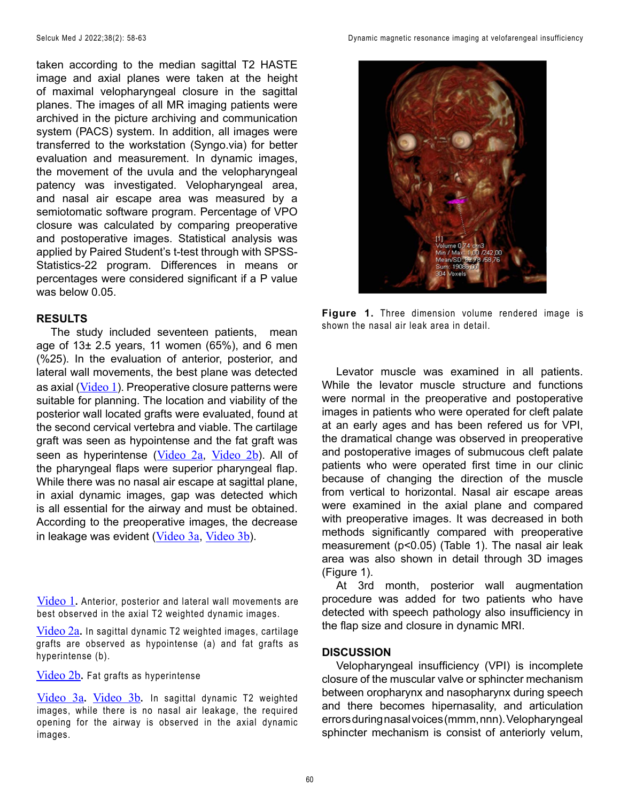taken according to the median sagittal T2 HASTE image and axial planes were taken at the height of maximal velopharyngeal closure in the sagittal planes. The images of all MR imaging patients were archived in the picture archiving and communication system (PACS) system. In addition, all images were transferred to the workstation (Syngo.via) for better evaluation and measurement. In dynamic images, the movement of the uvula and the velopharyngeal patency was investigated. Velopharyngeal area, and nasal air escape area was measured by a semiotomatic software program. Percentage of VPO closure was calculated by comparing preoperative and postoperative images. Statistical analysis was applied by Paired Student's t-test through with SPSS-Statistics-22 program. Differences in means or percentages were considered significant if a P value was below 0.05.

#### **RESULTS**

The study included seventeen patients, mean age of  $13\pm 2.5$  years, 11 women (65%), and 6 men (%25). In the evaluation of anterior, posterior, and lateral wall movements, the best plane was detected as axial ([Video 1](https://www.youtube.com/watch?v=dMYQ76zFAto)). Preoperative closure patterns were suitable for planning. The location and viability of the posterior wall located grafts were evaluated, found at the second cervical vertebra and viable. The cartilage graft was seen as hypointense and the fat graft was seen as hyperintense ([Video 2a](https://www.youtube.com/shorts/4ErsgaXBQ48), [Video 2b](https://www.youtube.com/shorts/sIO5o3hXzyA)). All of the pharyngeal flaps were superior pharyngeal flap. While there was no nasal air escape at sagittal plane, in axial dynamic images, gap was detected which is all essential for the airway and must be obtained. According to the preoperative images, the decrease in leakage was evident ([Video 3a](https://www.youtube.com/shorts/zeWSwznfVok), [Video 3b](https://www.youtube.com/watch?v=Vp_WcikJ-Cg)).

[Video 1](https://www.youtube.com/watch?v=dMYQ76zFAto)**.** Anterior, posterior and lateral wall movements are best observed in the axial T2 weighted dynamic images.

[Video 2a](https://www.youtube.com/shorts/4ErsgaXBQ48)**.** In sagittal dynamic T2 weighted images, cartilage grafts are observed as hypointense (a) and fat grafts as hyperintense (b).

[Video 2b](https://www.youtube.com/shorts/sIO5o3hXzyA)**.** Fat grafts as hyperintense

[Video 3a](https://www.youtube.com/shorts/zeWSwznfVok)**.** [Video 3b](https://www.youtube.com/watch?v=Vp_WcikJ-Cg)**.** In sagittal dynamic T2 weighted images, while there is no nasal air leakage, the required opening for the airway is observed in the axial dynamic images.



**Figure 1.** Three dimension volume rendered image is shown the nasal air leak area in detail.

Levator muscle was examined in all patients. While the levator muscle structure and functions were normal in the preoperative and postoperative images in patients who were operated for cleft palate at an early ages and has been refered us for VPI, the dramatical change was observed in preoperative and postoperative images of submucous cleft palate patients who were operated first time in our clinic because of changing the direction of the muscle from vertical to horizontal. Nasal air escape areas were examined in the axial plane and compared with preoperative images. It was decreased in both methods significantly compared with preoperative measurement (p<0.05) (Table 1). The nasal air leak area was also shown in detail through 3D images (Figure 1).

At 3rd month, posterior wall augmentation procedure was added for two patients who have detected with speech pathology also insufficiency in the flap size and closure in dynamic MRI.

#### **DISCUSSION**

Velopharyngeal insufficiency (VPI) is incomplete closure of the muscular valve or sphincter mechanism between oropharynx and nasopharynx during speech and there becomes hipernasality, and articulation errors during nasal voices (mmm, nnn). Velopharyngeal sphincter mechanism is consist of anteriorly velum,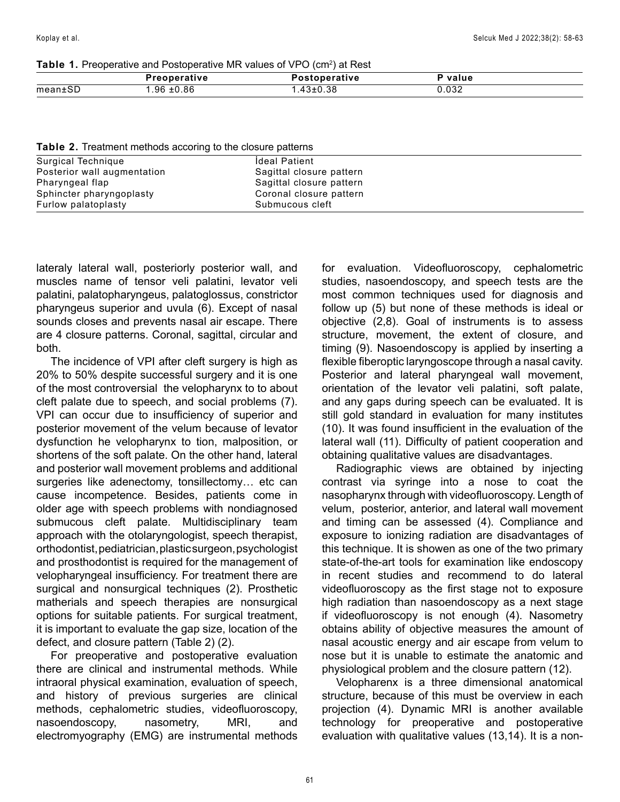**Table 1.** Preoperative and Postoperative MR values of VPO (cm<sup>2</sup>) at Rest

|       | Preoperative   | Postoperative | value      |  |
|-------|----------------|---------------|------------|--|
| mean± | $.96 \pm 0.86$ | .43±0.38      | 0.032<br>. |  |

**Table 2.** Treatment methods accoring to the closure patterns

| Surgical Technique          | <b>Ideal Patient</b>     |
|-----------------------------|--------------------------|
| Posterior wall augmentation | Sagittal closure pattern |
| Pharyngeal flap             | Sagittal closure pattern |
| Sphincter pharyngoplasty    | Coronal closure pattern  |
| Furlow palatoplasty         | Submucous cleft          |

lateraly lateral wall, posteriorly posterior wall, and muscles name of tensor veli palatini, levator veli palatini, palatopharyngeus, palatoglossus, constrictor pharyngeus superior and uvula (6). Except of nasal sounds closes and prevents nasal air escape. There are 4 closure patterns. Coronal, sagittal, circular and both.

The incidence of VPI after cleft surgery is high as 20% to 50% despite successful surgery and it is one of the most controversial the velopharynx to to about cleft palate due to speech, and social problems (7). VPI can occur due to insufficiency of superior and posterior movement of the velum because of levator dysfunction he velopharynx to tion, malposition, or shortens of the soft palate. On the other hand, lateral and posterior wall movement problems and additional surgeries like adenectomy, tonsillectomy... etc can cause incompetence. Besides, patients come in older age with speech problems with nondiagnosed submucous cleft palate. Multidisciplinary team approach with the otolaryngologist, speech therapist, orthodontist, pediatrician, plastic surgeon, psychologist and prosthodontist is required for the management of velopharyngeal insufficiency. For treatment there are surgical and nonsurgical techniques (2). Prosthetic matherials and speech therapies are nonsurgical options for suitable patients. For surgical treatment, it is important to evaluate the gap size, location of the defect, and closure pattern (Table 2) (2).

For preoperative and postoperative evaluation there are clinical and instrumental methods. While intraoral physical examination, evaluation of speech, and history of previous surgeries are clinical methods, cephalometric studies, videofluoroscopy, nasoendoscopy, nasometry, MRI, and electromyography (EMG) are instrumental methods

for evaluation. Videofluoroscopy, cephalometric studies, nasoendoscopy, and speech tests are the most common techniques used for diagnosis and follow up (5) but none of these methods is ideal or objective (2,8). Goal of instruments is to assess structure, movement, the extent of closure, and timing (9). Nasoendoscopy is applied by inserting a flexible fiberoptic laryngoscope through a nasal cavity. Posterior and lateral pharyngeal wall movement, orientation of the levator veli palatini, soft palate, and any gaps during speech can be evaluated. It is still gold standard in evaluation for many institutes (10). It was found insufficient in the evaluation of the lateral wall (11). Difficulty of patient cooperation and obtaining qualitative values are disadvantages.

Radiographic views are obtained by injecting contrast via syringe into a nose to coat the nasopharynx through with videofluoroscopy. Length of velum, posterior, anterior, and lateral wall movement and timing can be assessed (4). Compliance and exposure to ionizing radiation are disadvantages of this technique. It is showen as one of the two primary state-of-the-art tools for examination like endoscopy in recent studies and recommend to do lateral videofluoroscopy as the first stage not to exposure high radiation than nasoendoscopy as a next stage if videofluoroscopy is not enough (4). Nasometry obtains ability of objective measures the amount of nasal acoustic energy and air escape from velum to nose but it is unable to estimate the anatomic and physiological problem and the closure pattern (12).

Velopharenx is a three dimensional anatomical structure, because of this must be overview in each projection (4). Dynamic MRI is another available technology for preoperative and postoperative evaluation with qualitative values (13,14). It is a non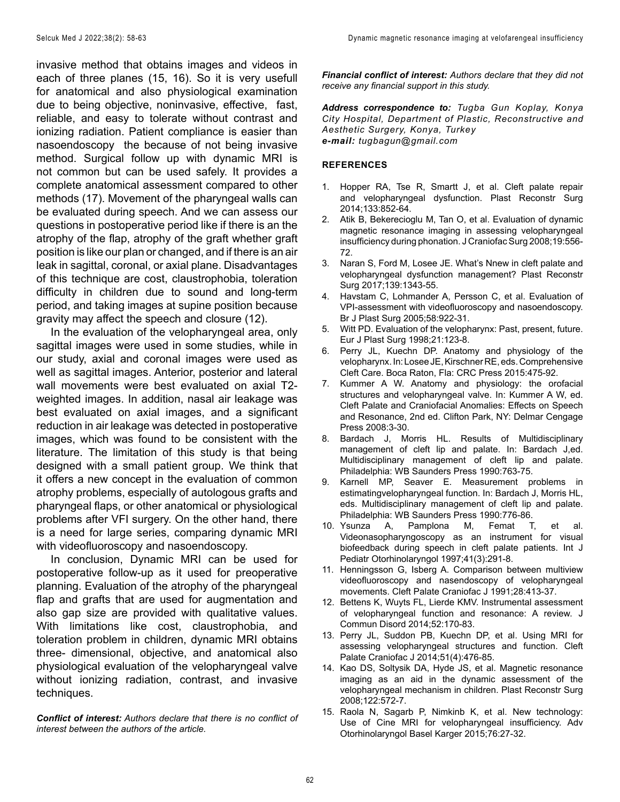invasive method that obtains images and videos in each of three planes (15, 16). So it is very usefull for anatomical and also physiological examination due to being objective, noninvasive, effective, fast, reliable, and easy to tolerate without contrast and ionizing radiation. Patient compliance is easier than nasoendoscopy the because of not being invasive method. Surgical follow up with dynamic MRI is not common but can be used safely. It provides a complete anatomical assessment compared to other methods (17). Movement of the pharyngeal walls can be evaluated during speech. And we can assess our questions in postoperative period like if there is an the atrophy of the flap, atrophy of the graft whether graft position is like our plan or changed, and if there is an air leak in sagittal, coronal, or axial plane. Disadvantages of this technique are cost, claustrophobia, toleration difficulty in children due to sound and long-term period, and taking images at supine position because gravity may affect the speech and closure (12).

In the evaluation of the velopharyngeal area, only sagittal images were used in some studies, while in our study, axial and coronal images were used as well as sagittal images. Anterior, posterior and lateral wall movements were best evaluated on axial T2 weighted images. In addition, nasal air leakage was best evaluated on axial images, and a significant reduction in air leakage was detected in postoperative images, which was found to be consistent with the literature. The limitation of this study is that being designed with a small patient group. We think that it offers a new concept in the evaluation of common atrophy problems, especially of autologous grafts and pharyngeal flaps, or other anatomical or physiological problems after VFI surgery. On the other hand, there is a need for large series, comparing dynamic MRI with videofluoroscopy and nasoendoscopy.

In conclusion, Dynamic MRI can be used for postoperative follow-up as it used for preoperative planning. Evaluation of the atrophy of the pharyngeal flap and grafts that are used for augmentation and also gap size are provided with qualitative values. With limitations like cost, claustrophobia, and toleration problem in children, dynamic MRI obtains three- dimensional, objective, and anatomical also physiological evaluation of the velopharyngeal valve without ionizing radiation, contrast, and invasive techniques.

*Conflict of interest: Authors declare that there is no conflict of interest between the authors of the article.*

*Financial conflict of interest: Authors declare that they did not receive any financial support in this study.*

*Address correspondence to: Tugba Gun Koplay, Konya City Hospital, Department of Plastic, Reconstructive and Aesthetic Surgery, Konya, Turkey e-mail: tugbagun@gmail.com*

#### **REFERENCES**

- 1. Hopper RA, Tse R, Smartt J, et al. Cleft palate repair and velopharyngeal dysfunction. Plast Reconstr Surg 2014;133:852-64.
- 2. Atik B, Bekerecioglu M, Tan O, et al. Evaluation of dynamic magnetic resonance imaging in assessing velopharyngeal insufficiency during phonation. J Craniofac Surg 2008;19:556- 72.
- 3. Naran S, Ford M, Losee JE. What's Nnew in cleft palate and velopharyngeal dysfunction management? Plast Reconstr Surg 2017;139:1343-55.
- 4. Havstam C, Lohmander A, Persson C, et al. Evaluation of VPI-assessment with videofluoroscopy and nasoendoscopy. Br J Plast Surg 2005;58:922-31.
- 5. Witt PD. Evaluation of the velopharynx: Past, present, future. Eur J Plast Surg 1998;21:123-8.
- 6. Perry JL, Kuechn DP. Anatomy and physiology of the velopharynx. In: Losee JE, Kirschner RE, eds. Comprehensive Cleft Care. Boca Raton, Fla: CRC Press 2015:475-92.
- 7. Kummer A W. Anatomy and physiology: the orofacial structures and velopharyngeal valve. In: Kummer A W, ed. Cleft Palate and Craniofacial Anomalies: Effects on Speech and Resonance, 2nd ed. Clifton Park, NY: Delmar Cengage Press 2008:3-30.
- 8. Bardach J, Morris HL. Results of Multidisciplinary management of cleft lip and palate. In: Bardach J,ed. Multidisciplinary management of cleft lip and palate. Philadelphia: WB Saunders Press 1990:763-75.
- 9. Karnell MP, Seaver E. Measurement problems in estimatingvelopharyngeal function. In: Bardach J, Morris HL, eds. Multidisciplinary management of cleft lip and palate. Philadelphia: WB Saunders Press 1990:776-86.
- 10. Ysunza A, Pamplona M, Femat T, et al. Videonasopharyngoscopy as an instrument for visual biofeedback during speech in cleft palate patients. Int J Pediatr Otorhinolaryngol 1997;41(3):291-8.
- 11. Henningsson G, Isberg A. Comparison between multiview videofluoroscopy and nasendoscopy of velopharyngeal movements. Cleft Palate Craniofac J 1991;28:413-37.
- 12. Bettens K, Wuyts FL, Lierde KMV. Instrumental assessment of velopharyngeal function and resonance: A review. J Commun Disord 2014;52:170-83.
- 13. Perry JL, Suddon PB, Kuechn DP, et al. Using MRI for assessing velopharyngeal structures and function. Cleft Palate Craniofac J 2014;51(4):476-85.
- 14. Kao DS, Soltysik DA, Hyde JS, et al. Magnetic resonance imaging as an aid in the dynamic assessment of the velopharyngeal mechanism in children. Plast Reconstr Surg 2008;122:572-7.
- 15. Raola N, Sagarb P, Nimkinb K, et al. New technology: Use of Cine MRI for velopharyngeal insufficiency. Adv Otorhinolaryngol Basel Karger 2015;76:27-32.